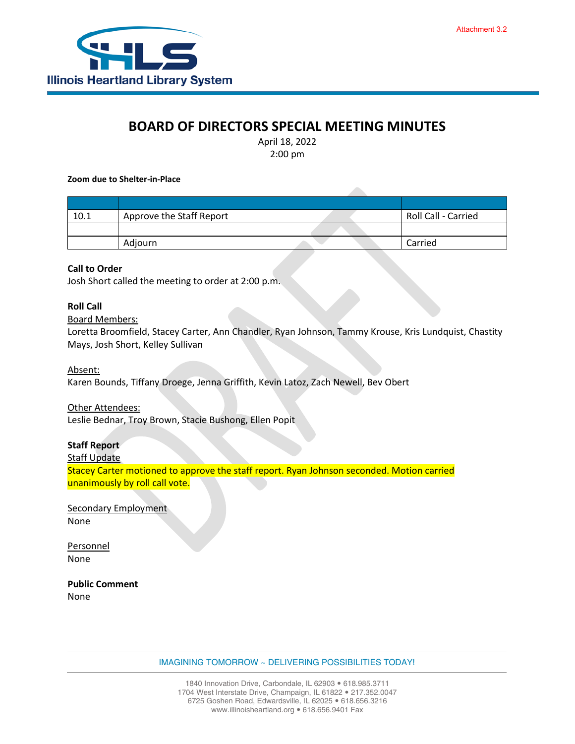

# **BOARD OF DIRECTORS SPECIAL MEETING MINUTES**

April 18, 2022 2:00 pm

**Zoom due to Shelter-in-Place**

| 10.1 | Approve the Staff Report | Roll Call - Carried |
|------|--------------------------|---------------------|
|      |                          |                     |
|      | Adjourn                  | Carried             |

### **Call to Order**

Josh Short called the meeting to order at 2:00 p.m.

### **Roll Call**

#### Board Members:

Loretta Broomfield, Stacey Carter, Ann Chandler, Ryan Johnson, Tammy Krouse, Kris Lundquist, Chastity Mays, Josh Short, Kelley Sullivan

Absent:

Karen Bounds, Tiffany Droege, Jenna Griffith, Kevin Latoz, Zach Newell, Bev Obert

Other Attendees:

Leslie Bednar, Troy Brown, Stacie Bushong, Ellen Popit

## **Staff Report**

Staff Update

Stacey Carter motioned to approve the staff report. Ryan Johnson seconded. Motion carried unanimously by roll call vote.

Secondary Employment None

Personnel None

**Public Comment** None